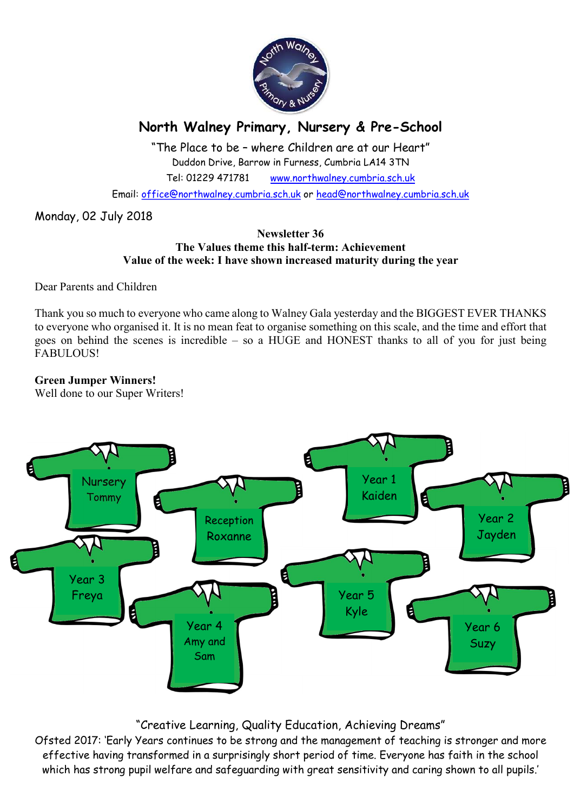

# North Walney Primary, Nursery & Pre-School

"The Place to be – where Children are at our Heart" Duddon Drive, Barrow in Furness, Cumbria LA14 3TN Tel: 01229 471781 www.northwalney.cumbria.sch.uk

Email: office@northwalney.cumbria.sch.uk or head@northwalney.cumbria.sch.uk

Monday, 02 July 2018

### Newsletter 36 The Values theme this half-term: Achievement Value of the week: I have shown increased maturity during the year

Dear Parents and Children

Thank you so much to everyone who came along to Walney Gala yesterday and the BIGGEST EVER THANKS to everyone who organised it. It is no mean feat to organise something on this scale, and the time and effort that goes on behind the scenes is incredible – so a HUGE and HONEST thanks to all of you for just being FABULOUS!

## Green Jumper Winners!

Well done to our Super Writers!



## "Creative Learning, Quality Education, Achieving Dreams"

Ofsted 2017: 'Early Years continues to be strong and the management of teaching is stronger and more effective having transformed in a surprisingly short period of time. Everyone has faith in the school which has strong pupil welfare and safeguarding with great sensitivity and caring shown to all pupils.'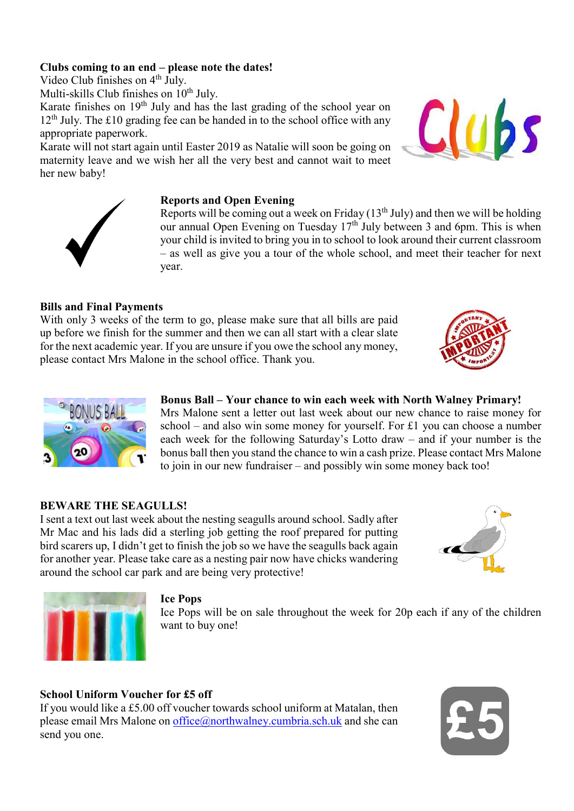## Clubs coming to an end – please note the dates!

Video Club finishes on 4<sup>th</sup> July.

Multi-skills Club finishes on  $10^{th}$  July.

Karate finishes on 19<sup>th</sup> July and has the last grading of the school year on  $12<sup>th</sup>$  July. The £10 grading fee can be handed in to the school office with any appropriate paperwork.

Karate will not start again until Easter 2019 as Natalie will soon be going on maternity leave and we wish her all the very best and cannot wait to meet her new baby!

## Reports and Open Evening

Reports will be coming out a week on Friday  $(13<sup>th</sup>$  July) and then we will be holding our annual Open Evening on Tuesday 17<sup>th</sup> July between 3 and 6pm. This is when your child is invited to bring you in to school to look around their current classroom – as well as give you a tour of the whole school, and meet their teacher for next year.

## Bills and Final Payments

With only 3 weeks of the term to go, please make sure that all bills are paid up before we finish for the summer and then we can all start with a clear slate for the next academic year. If you are unsure if you owe the school any money, please contact Mrs Malone in the school office. Thank you.

## Bonus Ball – Your chance to win each week with North Walney Primary!

Mrs Malone sent a letter out last week about our new chance to raise money for school – and also win some money for yourself. For £1 you can choose a number each week for the following Saturday's Lotto draw – and if your number is the bonus ball then you stand the chance to win a cash prize. Please contact Mrs Malone to join in our new fundraiser – and possibly win some money back too!

### BEWARE THE SEAGULLS!

I sent a text out last week about the nesting seagulls around school. Sadly after Mr Mac and his lads did a sterling job getting the roof prepared for putting bird scarers up, I didn't get to finish the job so we have the seagulls back again for another year. Please take care as a nesting pair now have chicks wandering around the school car park and are being very protective!

#### Ice Pops

Ice Pops will be on sale throughout the week for 20p each if any of the children want to buy one!

### School Uniform Voucher for £5 off

If you would like a £5.00 off voucher towards school uniform at Matalan, then please email Mrs Malone on office@northwalney.cumbria.sch.uk and she can send you one.











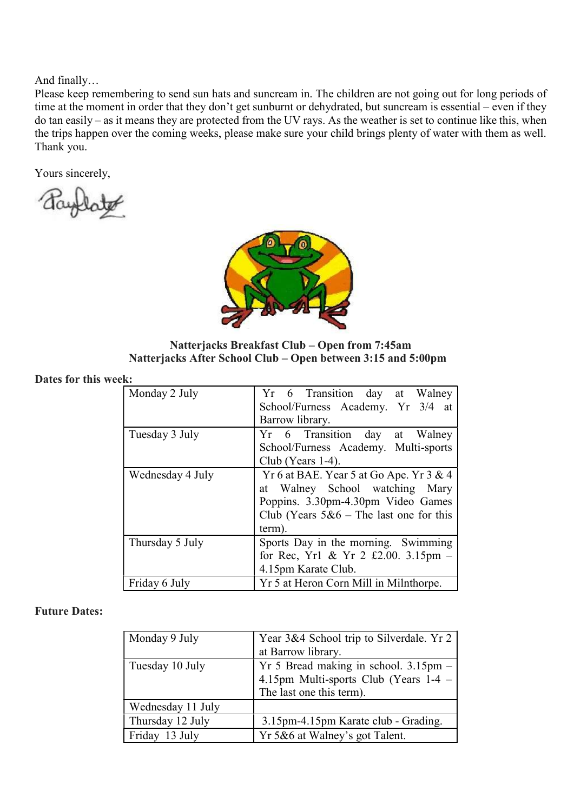And finally…

Please keep remembering to send sun hats and suncream in. The children are not going out for long periods of time at the moment in order that they don't get sunburnt or dehydrated, but suncream is essential – even if they do tan easily – as it means they are protected from the UV rays. As the weather is set to continue like this, when the trips happen over the coming weeks, please make sure your child brings plenty of water with them as well. Thank you.

Yours sincerely,



Natterjacks Breakfast Club – Open from 7:45am Natterjacks After School Club – Open between 3:15 and 5:00pm

Dates for this week:

| Monday 2 July    | Yr 6 Transition day at Walney                 |
|------------------|-----------------------------------------------|
|                  | School/Furness Academy. Yr 3/4 at             |
|                  | Barrow library.                               |
| Tuesday 3 July   | Yr 6 Transition day at Walney                 |
|                  | School/Furness Academy. Multi-sports          |
|                  | Club (Years $1-4$ ).                          |
| Wednesday 4 July | Yr 6 at BAE. Year 5 at Go Ape. Yr 3 & 4       |
|                  | at Walney School watching Mary                |
|                  | Poppins. 3.30pm-4.30pm Video Games            |
|                  | Club (Years $5&6$ – The last one for this     |
|                  | term).                                        |
| Thursday 5 July  | Sports Day in the morning. Swimming           |
|                  | for Rec, Yr1 & Yr 2 £2.00. $3.15 \text{pm}$ - |
|                  | 4.15pm Karate Club.                           |
| Friday 6 July    | Yr 5 at Heron Corn Mill in Milnthorpe.        |

### Future Dates:

| Monday 9 July     | Year 3&4 School trip to Silverdale. Yr 2 |
|-------------------|------------------------------------------|
|                   | at Barrow library.                       |
| Tuesday 10 July   | $Yr$ 5 Bread making in school. 3.15pm –  |
|                   | 4.15pm Multi-sports Club (Years 1-4 -    |
|                   | The last one this term).                 |
| Wednesday 11 July |                                          |
| Thursday 12 July  | 3.15pm-4.15pm Karate club - Grading.     |
| Friday 13 July    | Yr 5&6 at Walney's got Talent.           |